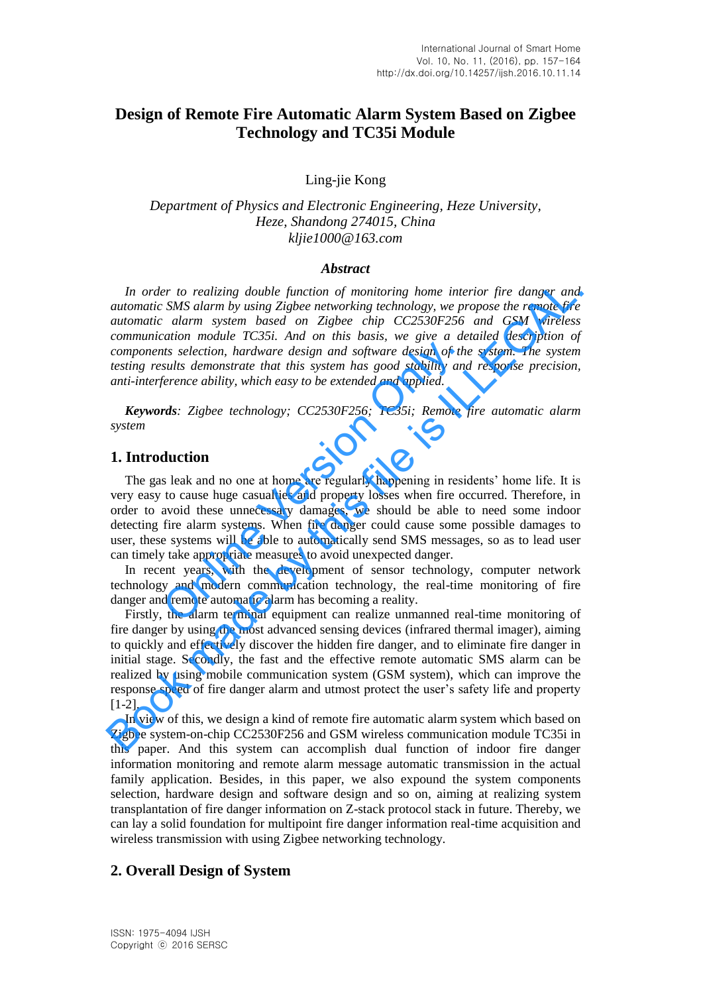# **Design of Remote Fire Automatic Alarm System Based on Zigbee Technology and TC35i Module**

Ling-jie Kong

*Department of Physics and Electronic Engineering, Heze University, Heze, Shandong 274015, China kljie1000@163.com* 

#### *Abstract*

*In order to realizing double function of monitoring home interior fire danger and automatic SMS alarm by using Zigbee networking technology, we propose the remote fire automatic alarm system based on Zigbee chip CC2530F256 and GSM wireless communication module TC35i. And on this basis, we give a detailed description of components selection, hardware design and software design of the system. The system testing results demonstrate that this system has good stability and response precision, anti-interference ability, which easy to be extended and applied.* 

*Keywords: Zigbee technology; CC2530F256; TC35i; Remote fire automatic alarm system* 

#### **1. Introduction**

The gas leak and no one at home are regularly happening in residents' home life. It is very easy to cause huge casualties and property losses when fire occurred. Therefore, in order to avoid these unnecessary damages, we should be able to need some indoor detecting fire alarm systems. When fire danger could cause some possible damages to user, these systems will be able to automatically send SMS messages, so as to lead user can timely take appropriate measures to avoid unexpected danger. ats selection, hardware design and software design of the<br>sults demonstrate that this system has good stability and<br>ference ability, which easy to be extended and applied.<br>These extended and applied.<br>These incomes are the

In recent years, with the development of sensor technology, computer network technology and modern communication technology, the real-time monitoring of fire danger and remote automatic alarm has becoming a reality.

Firstly, the alarm terminal equipment can realize unmanned real-time monitoring of fire danger by using the most advanced sensing devices (infrared thermal imager), aiming to quickly and effectively discover the hidden fire danger, and to eliminate fire danger in initial stage. Secondly, the fast and the effective remote automatic SMS alarm can be realized by using mobile communication system (GSM system), which can improve the response speed of fire danger alarm and utmost protect the user's safety life and property [1-2]. In order to realizing double function of monitoring home interior fire danger and<br>
automatic SMS atarm by using Zigbee networking technology, we propose the emotor<br>
automatic adamr system host do  $Z(253)$  and  $G(253)$  and

In view of this, we design a kind of remote fire automatic alarm system which based on Zigbee system-on-chip CC2530F256 and GSM wireless communication module TC35i in this paper. And this system can accomplish dual function of indoor fire danger information monitoring and remote alarm message automatic transmission in the actual family application. Besides, in this paper, we also expound the system components selection, hardware design and software design and so on, aiming at realizing system transplantation of fire danger information on Z-stack protocol stack in future. Thereby, we can lay a solid foundation for multipoint fire danger information real-time acquisition and wireless transmission with using Zigbee networking technology.

## **2. Overall Design of System**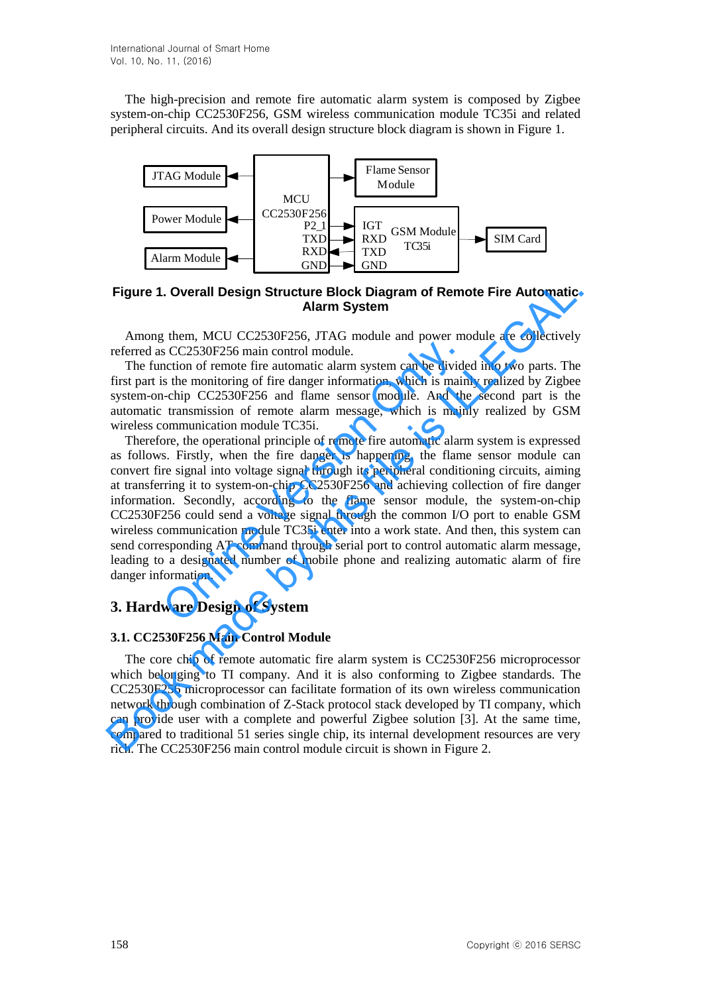The high-precision and remote fire automatic alarm system is composed by Zigbee system-on-chip CC2530F256, GSM wireless communication module TC35i and related peripheral circuits. And its overall design structure block diagram is shown in Figure 1.



**Figure 1. Overall Design Structure Block Diagram of Remote Fire Automatic Alarm System** 

Among them, MCU CC2530F256, JTAG module and power module are collectively referred as CC2530F256 main control module.

The function of remote fire automatic alarm system can be divided into two parts. The first part is the monitoring of fire danger information, which is mainly realized by Zigbee system-on-chip CC2530F256 and flame sensor module. And the second part is the automatic transmission of remote alarm message, which is mainly realized by GSM wireless communication module TC35i.

Therefore, the operational principle of remote fire automatic alarm system is expressed as follows. Firstly, when the fire danger is happening, the flame sensor module can convert fire signal into voltage signal through its peripheral conditioning circuits, aiming at transferring it to system-on-chip CC2530F256 and achieving collection of fire danger information. Secondly, according to the flame sensor module, the system-on-chip CC2530F256 could send a voltage signal through the common I/O port to enable GSM wireless communication module TC35i enter into a work state. And then, this system can send corresponding AT command through serial port to control automatic alarm message, leading to a designated number of mobile phone and realizing automatic alarm of fire danger information. s CC2530F256 main control module.<br>So CC2530F256 main control module.<br>Inction of remote fire automatic alarm system can be divide<br>is the monitoring of fire danger information, which is main<br>-chip CC2530F256 and flame sensor **Figure 1. Overall Design Structure Block Diagram of Remote Fire Automatic<br>
Alarm System<br>
MCU CC2530F256 main control module.<br>
The mostrol media and power module are collectively<br>
referred as CC2530F256 main control modul** 

# **3. Hardware Design of System**

#### **3.1. CC2530F256 Main Control Module**

The core chip of remote automatic fire alarm system is CC2530F256 microprocessor which belonging to TI company. And it is also conforming to Zigbee standards. The CC2530F256 microprocessor can facilitate formation of its own wireless communication network through combination of Z-Stack protocol stack developed by TI company, which can provide user with a complete and powerful Zigbee solution [3]. At the same time, compared to traditional 51 series single chip, its internal development resources are very rich. The CC2530F256 main control module circuit is shown in Figure 2.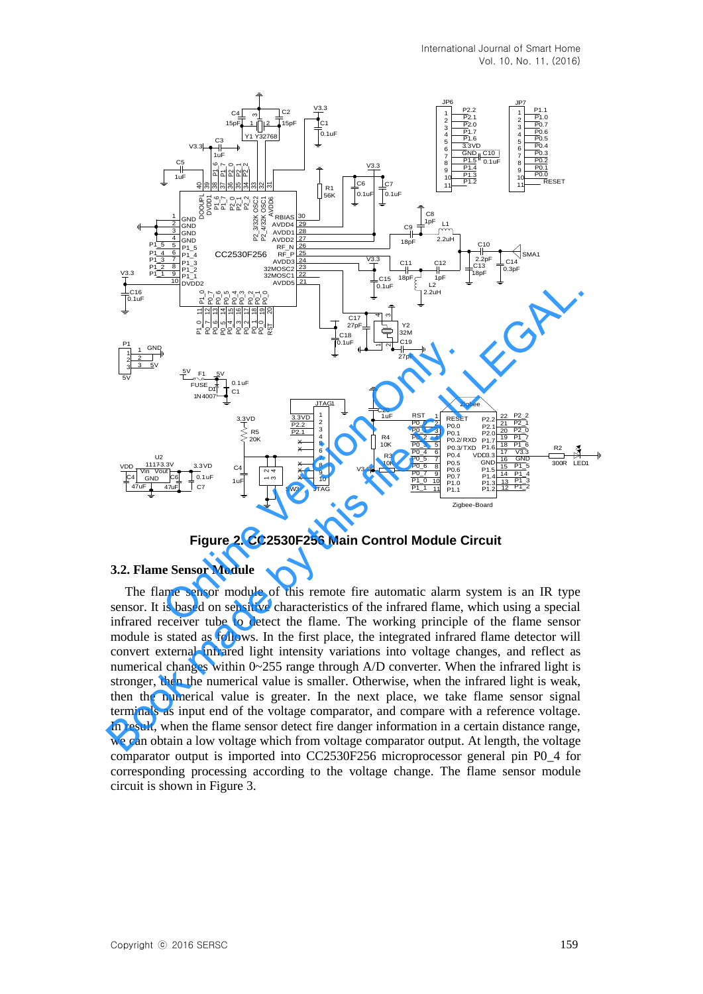

**Figure 2. CC2530F256 Main Control Module Circuit** 

#### **3.2. Flame Sensor Module**

The flame sensor module of this remote fire automatic alarm system is an IR type sensor. It is based on sensitive characteristics of the infrared flame, which using a special infrared receiver tube to detect the flame. The working principle of the flame sensor module is stated as follows. In the first place, the integrated infrared flame detector will convert external infrared light intensity variations into voltage changes, and reflect as numerical changes within 0~255 range through A/D converter. When the infrared light is stronger, then the numerical value is smaller. Otherwise, when the infrared light is weak, then the numerical value is greater. In the next place, we take flame sensor signal terminals as input end of the voltage comparator, and compare with a reference voltage. In result, when the flame sensor detect fire danger information in a certain distance range, we can obtain a low voltage which from voltage comparator output. At length, the voltage comparator output is imported into CC2530F256 microprocessor general pin P0\_4 for corresponding processing according to the voltage change. The flame sensor module circuit is shown in Figure 3.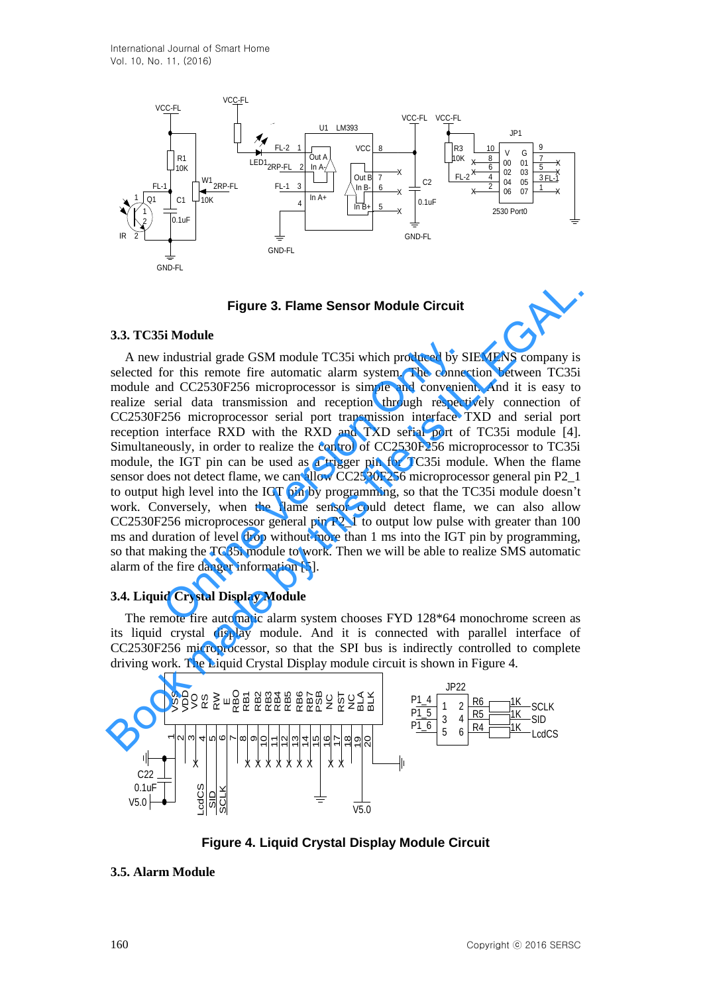

**Figure 3. Flame Sensor Module Circuit** 

### **3.3. TC35i Module**

160 Contract Contract Contract Contract Contract Contract Contract Contract Contract Contract Contract Contract Contract Contract Contract Contract Contract Contract Contract Contract Contract Contract Contract Contract C A new industrial grade GSM module TC35i which produced by SIEMENS company is selected for this remote fire automatic alarm system. The connection between TC35i module and CC2530F256 microprocessor is simple and convenient. And it is easy to realize serial data transmission and reception through respectively connection of CC2530F256 microprocessor serial port transmission interface TXD and serial port reception interface RXD with the RXD and TXD serial port of TC35i module [4]. Simultaneously, in order to realize the control of CC2530F256 microprocessor to TC35i module, the IGT pin can be used as a trigger pin for TC35i module. When the flame sensor does not detect flame, we can allow CC2530F256 microprocessor general pin P2\_1 to output high level into the IGT pin by programming, so that the TC35i module doesn't work. Conversely, when the flame sensor could detect flame, we can also allow CC2530F256 microprocessor general pin P2\_1 to output low pulse with greater than 100 ms and duration of level drop without more than 1 ms into the IGT pin by programming, so that making the TC35i module to work. Then we will be able to realize SMS automatic alarm of the fire danger information [5]. industrial grade GSM module TC35i which produced by S<br>for this remote fire automatic alarm system. The connection of CC2530F256 microprocessor is simple and conveniential data transmission and reception through respect 25 **Figure 3. Flame Sensor Module Circuit**<br>3.3. TC35i Module<br>A new industrial grade GSM module TC35i which produced by SIEMENS company is<br>selected for this remote fire automatic alarm system. The connection between TC35i<br>mod

## **3.4. Liquid Crystal Display Module**

The remote fire automatic alarm system chooses FYD 128\*64 monochrome screen as its liquid crystal display module. And it is connected with parallel interface of CC2530F256 microprocessor, so that the SPI bus is indirectly controlled to complete driving work. The Liquid Crystal Display module circuit is shown in Figure 4.



**Figure 4. Liquid Crystal Display Module Circuit** 

## **3.5. Alarm Module**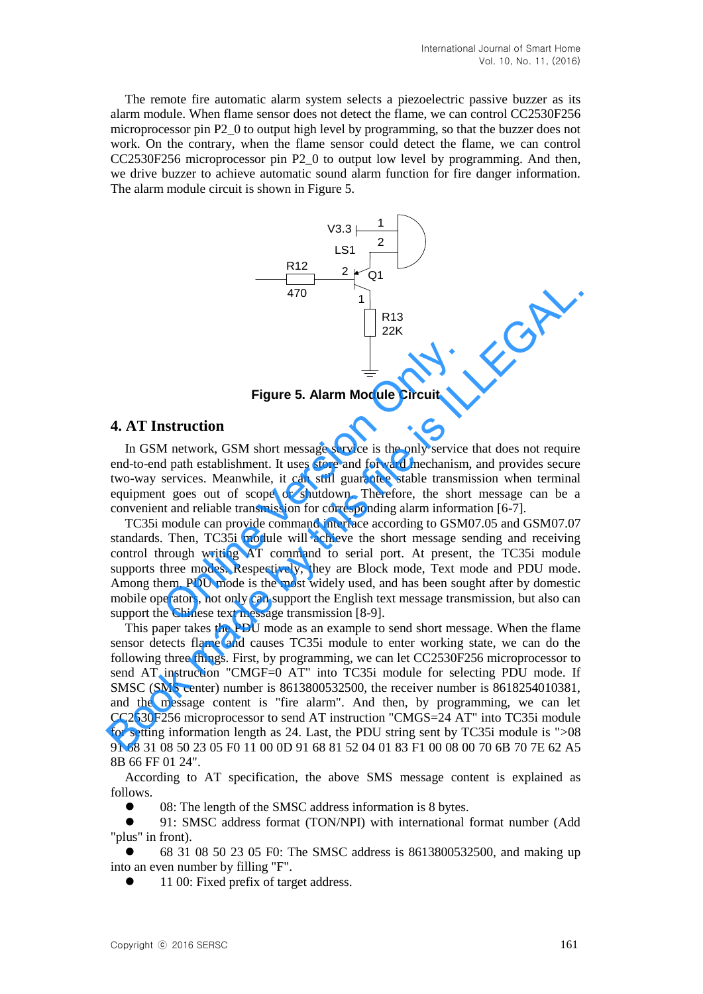The remote fire automatic alarm system selects a piezoelectric passive buzzer as its alarm module. When flame sensor does not detect the flame, we can control CC2530F256 microprocessor pin P2\_0 to output high level by programming, so that the buzzer does not work. On the contrary, when the flame sensor could detect the flame, we can control CC2530F256 microprocessor pin P2\_0 to output low level by programming. And then, we drive buzzer to achieve automatic sound alarm function for fire danger information. The alarm module circuit is shown in Figure 5.



**Figure 5. Alarm Module Circuit**

### **4. AT Instruction**

In GSM network, GSM short message service is the only service that does not require end-to-end path establishment. It uses store and forward mechanism, and provides secure two-way services. Meanwhile, it can still guarantee stable transmission when terminal equipment goes out of scope or shutdown. Therefore, the short message can be a convenient and reliable transmission for corresponding alarm information [6-7].

TC35i module can provide command interface according to GSM07.05 and GSM07.07 standards. Then, TC35i module will achieve the short message sending and receiving control through writing AT command to serial port. At present, the TC35i module supports three modes. Respectively, they are Block mode, Text mode and PDU mode. Among them, PDU mode is the most widely used, and has been sought after by domestic mobile operators, not only can support the English text message transmission, but also can support the Chinese text message transmission [8-9]. **Example 19 Example 19 Example 19 Example 19 Example 19 Except<br>Figure 5. Alarm Module Circuit<br>An network, GSM short message service is the only service<br>d path establishment. It uses store and forward mechanism<br>services. Me** 

This paper takes the PDU mode as an example to send short message. When the flame sensor detects flame and causes TC35i module to enter working state, we can do the following three things. First, by programming, we can let CC2530F256 microprocessor to send AT instruction "CMGF=0 AT" into TC35i module for selecting PDU mode. If SMSC (SMS center) number is 8613800532500, the receiver number is 8618254010381, and the message content is "fire alarm". And then, by programming, we can let CC2530F256 microprocessor to send AT instruction "CMGS=24 AT" into TC35i module for setting information length as 24. Last, the PDU string sent by TC35i module is ">08 91 68 31 08 50 23 05 F0 11 00 0D 91 68 81 52 04 01 83 F1 00 08 00 70 6B 70 7E 62 A5 8B 66 FF 01 24". Figure 5. Alarm Module Circuit<br>
Figure 5. Alarm Module Circuit<br>
1922 EX<br>
Expression and provides are the only service that does not require<br>
end-to-end path establishment. It uses store and forward mechanism, and provides

According to AT specification, the above SMS message content is explained as follows.

08: The length of the SMSC address information is 8 bytes.

 91: SMSC address format (TON/NPI) with international format number (Add "plus" in front).

 68 31 08 50 23 05 F0: The SMSC address is 8613800532500, and making up into an even number by filling "F".

11 00: Fixed prefix of target address.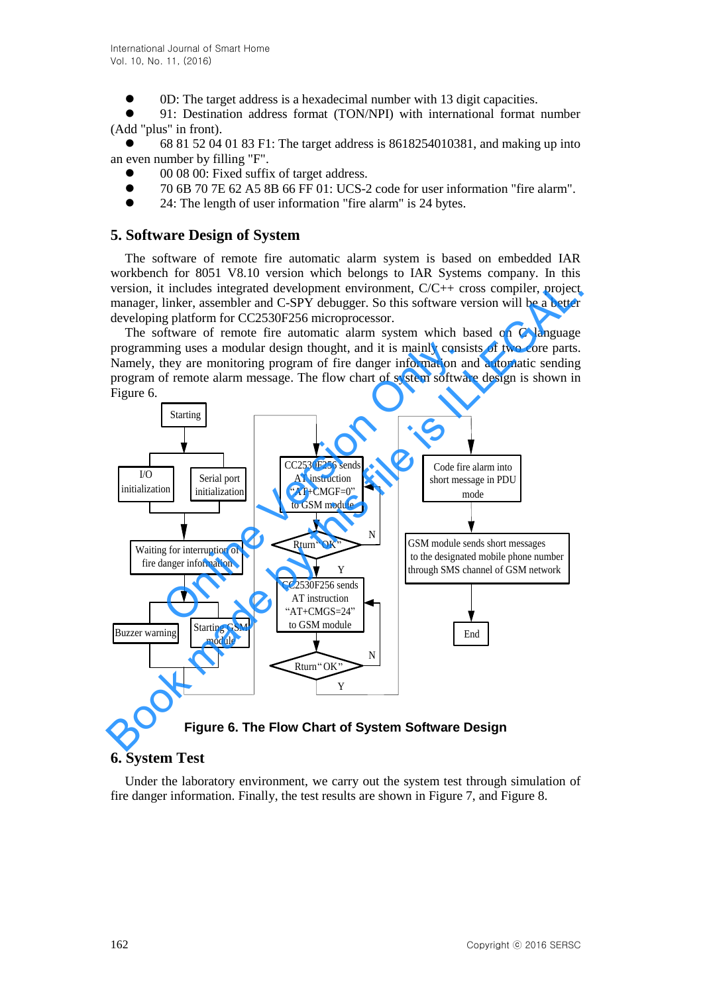0D: The target address is a hexadecimal number with 13 digit capacities.

 91: Destination address format (TON/NPI) with international format number (Add "plus" in front).

 68 81 52 04 01 83 F1: The target address is 8618254010381, and making up into an even number by filling "F".

- 00 08 00: Fixed suffix of target address.
- 70 6B 70 7E 62 A5 8B 66 FF 01: UCS-2 code for user information "fire alarm".
- 24: The length of user information "fire alarm" is 24 bytes.

## **5. Software Design of System**

The software of remote fire automatic alarm system is based on embedded IAR workbench for 8051 V8.10 version which belongs to IAR Systems company. In this version, it includes integrated development environment, C/C++ cross compiler, project manager, linker, assembler and C-SPY debugger. So this software version will be a better developing platform for CC2530F256 microprocessor.

The software of remote fire automatic alarm system which based on C language programming uses a modular design thought, and it is mainly consists of two core parts. Namely, they are monitoring program of fire danger information and automatic sending program of remote alarm message. The flow chart of system software design is shown in Figure 6.



**Figure 6. The Flow Chart of System Software Design** 

# **6. System Test**

Under the laboratory environment, we carry out the system test through simulation of fire danger information. Finally, the test results are shown in Figure 7, and Figure 8.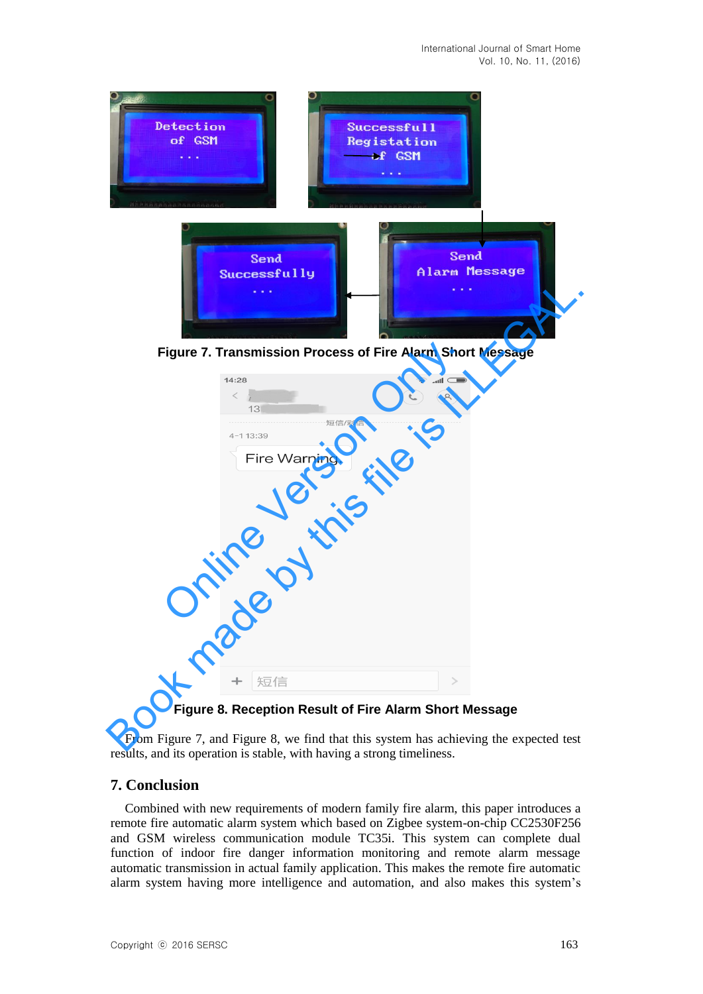

**Figure 7. Transmission Process of Fire Alarm Short Message**

| 14:28              | Figure 7. Transmission Process of Fire Alarm Short Message<br>کا اس |
|--------------------|---------------------------------------------------------------------|
| $\,<$<br>13        | (A)                                                                 |
| 短信/彩信<br>4-1 13:39 |                                                                     |
| Fire Warning.      |                                                                     |
|                    |                                                                     |
|                    |                                                                     |
|                    |                                                                     |
|                    |                                                                     |
|                    |                                                                     |
|                    |                                                                     |
|                    |                                                                     |
|                    |                                                                     |
| 短信<br>$+$          | $\, > \,$                                                           |

**Figure 8. Reception Result of Fire Alarm Short Message**

From Figure 7, and Figure 8, we find that this system has achieving the expected test results, and its operation is stable, with having a strong timeliness.

## **7. Conclusion**

Combined with new requirements of modern family fire alarm, this paper introduces a remote fire automatic alarm system which based on Zigbee system-on-chip CC2530F256 and GSM wireless communication module TC35i. This system can complete dual function of indoor fire danger information monitoring and remote alarm message automatic transmission in actual family application. This makes the remote fire automatic alarm system having more intelligence and automation, and also makes this system's